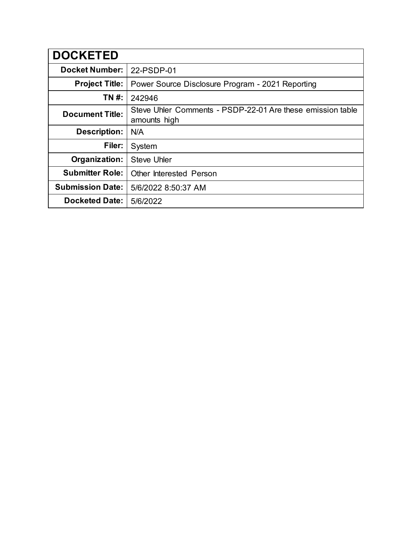| <b>DOCKETED</b>         |                                                                            |
|-------------------------|----------------------------------------------------------------------------|
| <b>Docket Number:</b>   | 22-PSDP-01                                                                 |
| <b>Project Title:</b>   | Power Source Disclosure Program - 2021 Reporting                           |
| TN #:                   | 242946                                                                     |
| <b>Document Title:</b>  | Steve Uhler Comments - PSDP-22-01 Are these emission table<br>amounts high |
| <b>Description:</b>     | N/A                                                                        |
| Filer:                  | System                                                                     |
| Organization:           | <b>Steve Uhler</b>                                                         |
| <b>Submitter Role:</b>  | <b>Other Interested Person</b>                                             |
| <b>Submission Date:</b> | 5/6/2022 8:50:37 AM                                                        |
| <b>Docketed Date:</b>   | 5/6/2022                                                                   |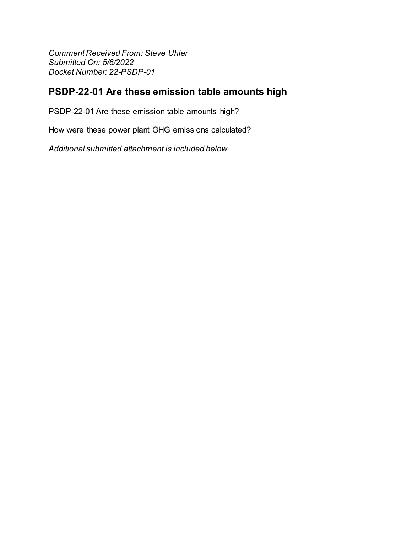**Comment Received From: Steve Uhler** Submitted On: 5/6/2022 Docket Number: 22-PSDP-01

## PSDP-22-01 Are these emission table amounts high

PSDP-22-01 Are these emission table amounts high?

How were these power plant GHG emissions calculated?

Additional submitted attachment is included below.